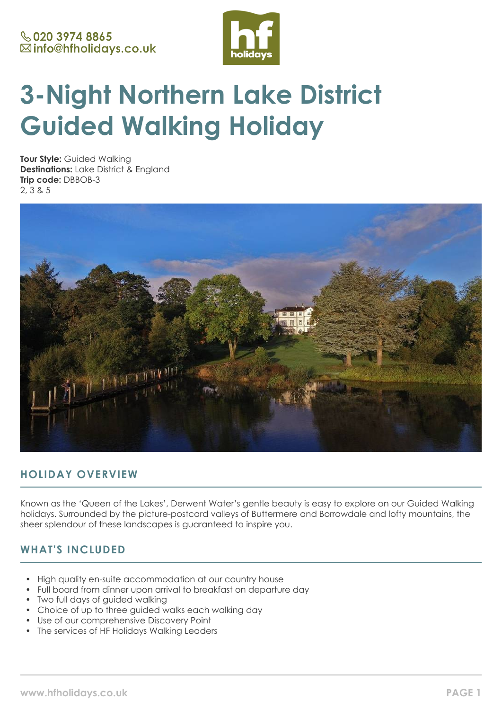

# **3-Night Northern Lake District Guided Walking Holiday**

**Tour Style:** Guided Walking **Destinations:** Lake District & England **Trip code:** DBBOB-3 2, 3 & 5



# **HOLIDAY OVERVIEW**

Known as the 'Queen of the Lakes', Derwent Water's gentle beauty is easy to explore on our Guided Walking holidays. Surrounded by the picture-postcard valleys of Buttermere and Borrowdale and lofty mountains, the sheer splendour of these landscapes is guaranteed to inspire you.

# **WHAT'S INCLUDED**

- High quality en-suite accommodation at our country house
- Full board from dinner upon arrival to breakfast on departure day
- Two full days of guided walking
- Choice of up to three quided walks each walking day
- Use of our comprehensive Discovery Point
- The services of HF Holidays Walking Leaders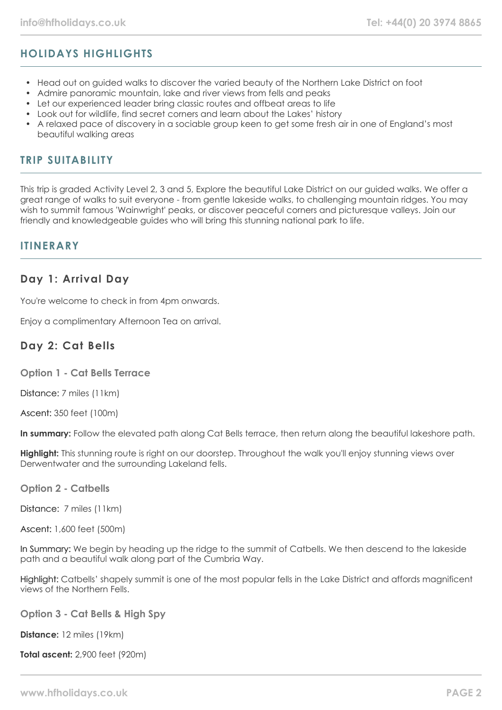# **HOLIDAYS HIGHLIGHTS**

- Head out on guided walks to discover the varied beauty of the Northern Lake District on foot
- Admire panoramic mountain, lake and river views from fells and peaks
- Let our experienced leader bring classic routes and offbeat areas to life
- Look out for wildlife, find secret corners and learn about the Lakes' history
- A relaxed pace of discovery in a sociable group keen to get some fresh air in one of England's most beautiful walking areas

### **TRIP SUITABILITY**

This trip is graded Activity Level 2, 3 and 5, Explore the beautiful Lake District on our guided walks. We offer a great range of walks to suit everyone - from gentle lakeside walks, to challenging mountain ridges. You may wish to summit famous 'Wainwright' peaks, or discover peaceful corners and picturesque valleys. Join our friendly and knowledgeable guides who will bring this stunning national park to life.

### **ITINFRARY**

### **Day 1: Arrival Day**

You're welcome to check in from 4pm onwards.

Enjoy a complimentary Afternoon Tea on arrival.

### **Day 2: Cat Bells**

**Option 1 - Cat Bells Terrace**

Distance: 7 miles (11km)

Ascent: 350 feet (100m)

**In summary:** Follow the elevated path along Cat Bells terrace, then return along the beautiful lakeshore path.

**Highlight:** This stunning route is right on our doorstep. Throughout the walk you'll enjoy stunning views over Derwentwater and the surrounding Lakeland fells.

**Option 2 - Catbells**

Distance: 7 miles (11km)

Ascent: 1,600 feet (500m)

In Summary: We begin by heading up the ridge to the summit of Catbells. We then descend to the lakeside path and a beautiful walk along part of the Cumbria Way.

Highlight: Catbells' shapely summit is one of the most popular fells in the Lake District and affords magnificent views of the Northern Fells.

**Option 3 - Cat Bells & High Spy**

**Distance:** 12 miles (19km)

**Total ascent:** 2,900 feet (920m)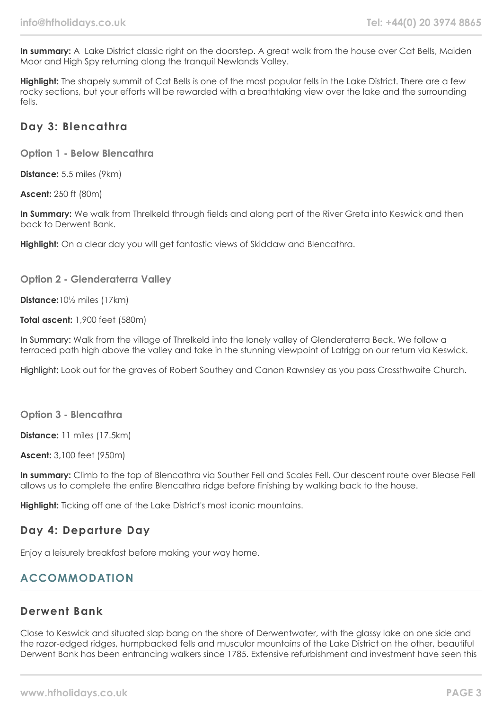**In summary:** A Lake District classic right on the doorstep. A great walk from the house over Cat Bells, Maiden Moor and High Spy returning along the tranquil Newlands Valley.

**Highlight:** The shapely summit of Cat Bells is one of the most popular fells in the Lake District. There are a few rocky sections, but your efforts will be rewarded with a breathtaking view over the lake and the surrounding fells.

### **Day 3: Blencathra**

**Option 1 - Below Blencathra**

**Distance:** 5.5 miles (9km)

**Ascent:** 250 ft (80m)

**In Summary:** We walk from Threlkeld through fields and along part of the River Greta into Keswick and then back to Derwent Bank.

**Highlight:** On a clear day you will get fantastic views of Skiddaw and Blencathra.

### **Option 2 - Glenderaterra Valley**

**Distance:**10½ miles (17km)

**Total ascent:** 1,900 feet (580m)

In Summary: Walk from the village of Threlkeld into the lonely valley of Glenderaterra Beck. We follow a terraced path high above the valley and take in the stunning viewpoint of Latrigg on our return via Keswick.

Highlight: Look out for the graves of Robert Southey and Canon Rawnsley as you pass Crossthwaite Church.

**Option 3 - Blencathra**

**Distance:** 11 miles (17.5km)

**Ascent:** 3,100 feet (950m)

**In summary:** Climb to the top of Blencathra via Souther Fell and Scales Fell. Our descent route over Blease Fell allows us to complete the entire Blencathra ridge before finishing by walking back to the house.

**Highlight:** Ticking off one of the Lake District's most iconic mountains.

# **Day 4: Departure Day**

Enjoy a leisurely breakfast before making your way home.

# **ACCOMMODATION**

# **Derwent Bank**

Close to Keswick and situated slap bang on the shore of Derwentwater, with the glassy lake on one side and the razor-edged ridges, humpbacked fells and muscular mountains of the Lake District on the other, beautiful Derwent Bank has been entrancing walkers since 1785. Extensive refurbishment and investment have seen this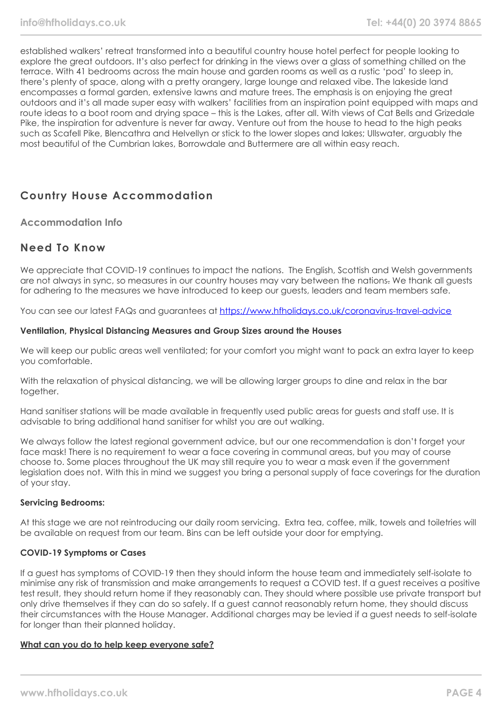established walkers' retreat transformed into a beautiful country house hotel perfect for people looking to explore the great outdoors. It's also perfect for drinking in the views over a glass of something chilled on the terrace. With 41 bedrooms across the main house and garden rooms as well as a rustic 'pod' to sleep in, there's plenty of space, along with a pretty orangery, large lounge and relaxed vibe. The lakeside land encompasses a formal garden, extensive lawns and mature trees. The emphasis is on enjoying the great outdoors and it's all made super easy with walkers' facilities from an inspiration point equipped with maps and route ideas to a boot room and drying space – this is the Lakes, after all. With views of Cat Bells and Grizedale Pike, the inspiration for adventure is never far away. Venture out from the house to head to the high peaks such as Scafell Pike, Blencathra and Helvellyn or stick to the lower slopes and lakes; Ullswater, arguably the most beautiful of the Cumbrian lakes, Borrowdale and Buttermere are all within easy reach.

# **Country House Accommodation**

**Accommodation Info**

### **Need To Know**

We appreciate that COVID-19 continues to impact the nations. The English, Scottish and Welsh governments are not always in sync, so measures in our country houses may vary between the nations. We thank all guests for adhering to the measures we have introduced to keep our guests, leaders and team members safe.

You can see our latest FAQs and guarantees at <https://www.hfholidays.co.uk/coronavirus-travel-advice>

#### **Ventilation, Physical Distancing Measures and Group Sizes around the Houses**

We will keep our public areas well ventilated; for your comfort you might want to pack an extra layer to keep you comfortable.

With the relaxation of physical distancing, we will be allowing larger groups to dine and relax in the bar together.

Hand sanitiser stations will be made available in frequently used public areas for guests and staff use. It is advisable to bring additional hand sanitiser for whilst you are out walking.

We always follow the latest regional government advice, but our one recommendation is don't forget your face mask! There is no requirement to wear a face covering in communal areas, but you may of course choose to. Some places throughout the UK may still require you to wear a mask even if the government legislation does not. With this in mind we suggest you bring a personal supply of face coverings for the duration of your stay.

### **Servicing Bedrooms:**

At this stage we are not reintroducing our daily room servicing. Extra tea, coffee, milk, towels and toiletries will be available on request from our team. Bins can be left outside your door for emptying.

### **COVID-19 Symptoms or Cases**

If a guest has symptoms of COVID-19 then they should inform the house team and immediately self-isolate to minimise any risk of transmission and make arrangements to request a COVID test. If a guest receives a positive test result, they should return home if they reasonably can. They should where possible use private transport but only drive themselves if they can do so safely. If a guest cannot reasonably return home, they should discuss their circumstances with the House Manager. Additional charges may be levied if a guest needs to self-isolate for longer than their planned holiday.

#### **What can you do to help keep everyone safe?**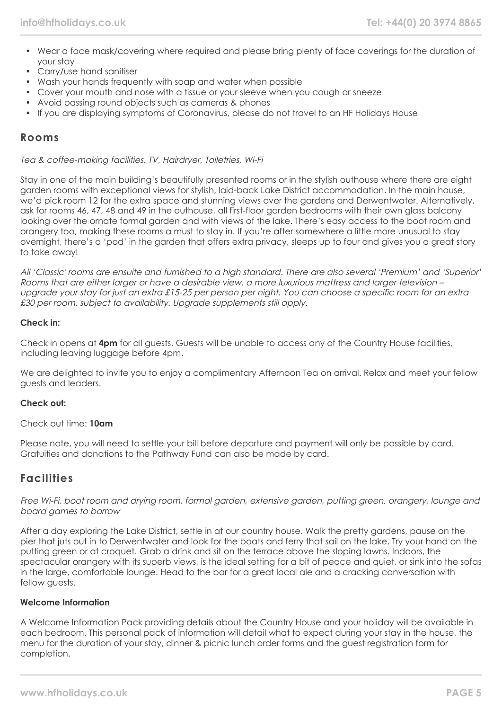- Wear a face mask/covering where required and please bring plenty of face coverings for the duration of your stay
- Carry/use hand sanitiser
- Wash your hands frequently with soap and water when possible
- Cover your mouth and nose with a tissue or your sleeve when you cough or sneeze
- Avoid passing round objects such as cameras & phones
- If you are displaying symptoms of Coronavirus, please do not travel to an HF Holidays House

### **Rooms**

Tea & coffee-making facilities, TV, Hairdryer, Toiletries, Wi-Fi

Stay in one of the main building's beautifully presented rooms or in the stylish outhouse where there are eight garden rooms with exceptional views for stylish, laid-back Lake District accommodation. In the main house, we'd pick room 12 for the extra space and stunning views over the gardens and Derwentwater. Alternatively, ask for rooms 46, 47, 48 and 49 in the outhouse, all first-floor garden bedrooms with their own glass balcony looking over the ornate formal garden and with views of the lake. There's easy access to the boot room and orangery too, making these rooms a must to stay in. If you're after somewhere a little more unusual to stay overnight, there's a 'pod' in the garden that offers extra privacy, sleeps up to four and gives you a great story to take away!

All 'Classic' rooms are ensuite and furnished to a high standard. There are also several 'Premium' and 'Superior' Rooms that are either larger or have a desirable view, a more luxurious mattress and larger television – upgrade your stay for just an extra £15-25 per person per night. You can choose a specific room for an extra £30 per room, subject to availability. Upgrade supplements still apply.

#### **Check in:**

Check in opens at **4pm** for all guests. Guests will be unable to access any of the Country House facilities, including leaving luggage before 4pm.

We are delighted to invite you to enjoy a complimentary Afternoon Tea on arrival. Relax and meet your fellow guests and leaders.

#### **Check out:**

Check out time: **10am**

Please note, you will need to settle your bill before departure and payment will only be possible by card. Gratuities and donations to the Pathway Fund can also be made by card.

### **Facilities**

Free Wi-Fi, boot room and drying room, formal garden, extensive garden, putting green, orangery, lounge and board games to borrow

After a day exploring the Lake District, settle in at our country house. Walk the pretty gardens, pause on the pier that juts out in to Derwentwater and look for the boats and ferry that sail on the lake. Try your hand on the putting green or at croquet. Grab a drink and sit on the terrace above the sloping lawns. Indoors, the spectacular orangery with its superb views, is the ideal setting for a bit of peace and quiet, or sink into the sofas in the large, comfortable lounge. Head to the bar for a great local ale and a cracking conversation with fellow quests.

#### **Welcome Information**

A Welcome Information Pack providing details about the Country House and your holiday will be available in each bedroom. This personal pack of information will detail what to expect during your stay in the house, the menu for the duration of your stay, dinner & picnic lunch order forms and the guest registration form for completion.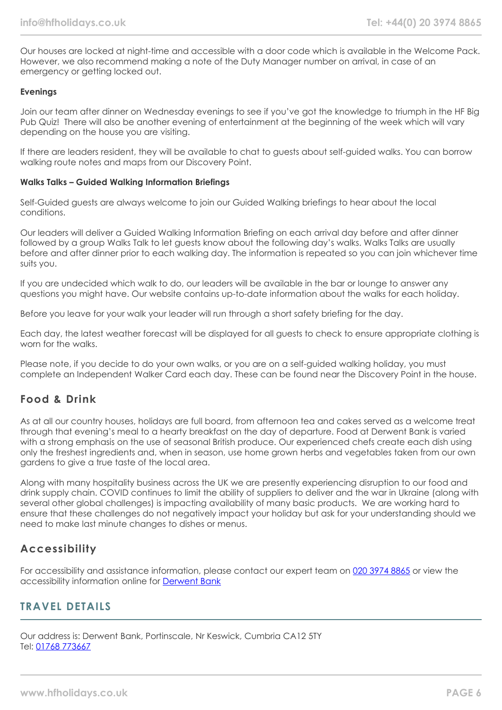Our houses are locked at night-time and accessible with a door code which is available in the Welcome Pack. However, we also recommend making a note of the Duty Manager number on arrival, in case of an emergency or getting locked out.

#### **Evenings**

Join our team after dinner on Wednesday evenings to see if you've got the knowledge to triumph in the HF Big Pub Quiz! There will also be another evening of entertainment at the beginning of the week which will vary depending on the house you are visiting.

If there are leaders resident, they will be available to chat to guests about self-guided walks. You can borrow walking route notes and maps from our Discovery Point.

#### **Walks Talks – Guided Walking Information Briefings**

Self-Guided guests are always welcome to join our Guided Walking briefings to hear about the local conditions.

Our leaders will deliver a Guided Walking Information Briefing on each arrival day before and after dinner followed by a group Walks Talk to let guests know about the following day's walks. Walks Talks are usually before and after dinner prior to each walking day. The information is repeated so you can join whichever time suits you.

If you are undecided which walk to do, our leaders will be available in the bar or lounge to answer any questions you might have. Our website contains up-to-date information about the walks for each holiday.

Before you leave for your walk your leader will run through a short safety briefing for the day.

Each day, the latest weather forecast will be displayed for all guests to check to ensure appropriate clothing is worn for the walks.

Please note, if you decide to do your own walks, or you are on a self-guided walking holiday, you must complete an Independent Walker Card each day. These can be found near the Discovery Point in the house.

### **Food & Drink**

As at all our country houses, holidays are full board, from afternoon tea and cakes served as a welcome treat through that evening's meal to a hearty breakfast on the day of departure. Food at Derwent Bank is varied with a strong emphasis on the use of seasonal British produce. Our experienced chefs create each dish using only the freshest ingredients and, when in season, use home grown herbs and vegetables taken from our own gardens to give a true taste of the local area.

Along with many hospitality business across the UK we are presently experiencing disruption to our food and drink supply chain. COVID continues to limit the ability of suppliers to deliver and the war in Ukraine (along with several other global challenges) is impacting availability of many basic products. We are working hard to ensure that these challenges do not negatively impact your holiday but ask for your understanding should we need to make last minute changes to dishes or menus.

# **Accessibility**

For accessibility and assistance information, please contact our expert team on [020 3974 8865](tel:02039748865) or view the accessibility information online for [Derwent Bank](https://www.hfholidays.co.uk/images/Documents/accessibility_statements/derwentbank---accessibility-information---update-mar-2021.pdf)

### **TRAVEL DETAILS**

Our address is: Derwent Bank, Portinscale, Nr Keswick, Cumbria CA12 5TY Tel: [01768 773667](tel:01768773667)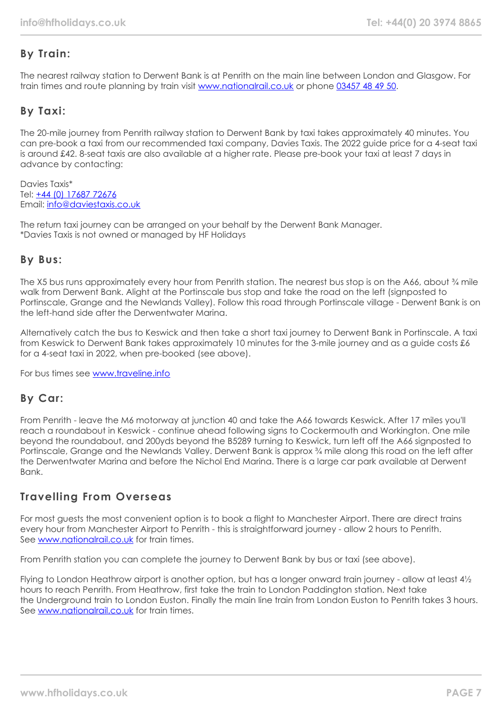# **By Train:**

The nearest railway station to Derwent Bank is at Penrith on the main line between London and Glasgow. For train times and route planning by train visit [www.nationalrail.co.uk](https://www.nationalrail.co.uk/) or phone [03457 48 49 50.](tel:03457484950)

# **By Taxi:**

The 20-mile journey from Penrith railway station to Derwent Bank by taxi takes approximately 40 minutes. You can pre-book a taxi from our recommended taxi company, Davies Taxis. The 2022 guide price for a 4-seat taxi is around £42. 8-seat taxis are also available at a higher rate. Please pre-book your taxi at least 7 days in advance by contacting:

Davies Taxis\* Tel: +44 (0) [17687 72676](tel:01768772676) Email: [info@daviestaxis.co.uk](mailto:info@daviestaxis.co.uk)

The return taxi journey can be arranged on your behalf by the Derwent Bank Manager. \*Davies Taxis is not owned or managed by HF Holidays

# **By Bus:**

The X5 bus runs approximately every hour from Penrith station. The nearest bus stop is on the A66, about % mile walk from Derwent Bank. Alight at the Portinscale bus stop and take the road on the left (signposted to Portinscale, Grange and the Newlands Valley). Follow this road through Portinscale village - Derwent Bank is on the left-hand side after the Derwentwater Marina.

Alternatively catch the bus to Keswick and then take a short taxi journey to Derwent Bank in Portinscale. A taxi from Keswick to Derwent Bank takes approximately 10 minutes for the 3-mile journey and as a guide costs £6 for a 4-seat taxi in 2022, when pre-booked (see above).

For bus times see [www.traveline.info](http://www.traveline.info/)

# **By Car:**

From Penrith - leave the M6 motorway at junction 40 and take the A66 towards Keswick. After 17 miles you'll reach a roundabout in Keswick - continue ahead following signs to Cockermouth and Workington. One mile beyond the roundabout, and 200yds beyond the B5289 turning to Keswick, turn left off the A66 signposted to Portinscale, Grange and the Newlands Valley. Derwent Bank is approx ¾ mile along this road on the left after the Derwentwater Marina and before the Nichol End Marina. There is a large car park available at Derwent Bank.

# **Travelling From Overseas**

For most guests the most convenient option is to book a flight to Manchester Airport. There are direct trains every hour from Manchester Airport to Penrith - this is straightforward journey - allow 2 hours to Penrith. See [www.nationalrail.co.uk](http://www.nationalrail.co.uk/) for train times.

From Penrith station you can complete the journey to Derwent Bank by bus or taxi (see above).

Flying to London Heathrow airport is another option, but has a longer onward train journey - allow at least 4½ hours to reach Penrith. From Heathrow, first take the train to London Paddington station. Next take the Underground train to London Euston. Finally the main line train from London Euston to Penrith takes 3 hours. See [www.nationalrail.co.uk](http://www.nationalrail.co.uk/) for train times.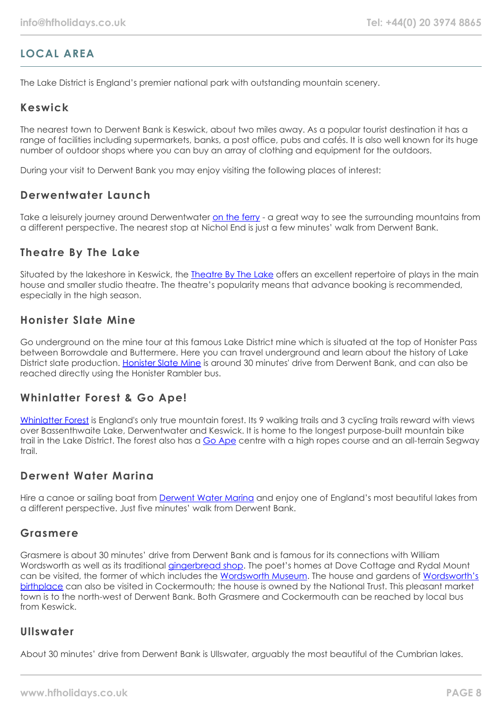# **LOCAL AREA**

The Lake District is England's premier national park with outstanding mountain scenery.

### **Keswick**

The nearest town to Derwent Bank is Keswick, about two miles away. As a popular tourist destination it has a range of facilities including supermarkets, banks, a post office, pubs and cafés. It is also well known for its huge number of outdoor shops where you can buy an array of clothing and equipment for the outdoors.

During your visit to Derwent Bank you may enjoy visiting the following places of interest:

### **Derwentwater Launch**

Take a leisurely journey around Derwentwater [on the ferry](https://keswick-launch.co.uk/) - a great way to see the surrounding mountains from a different perspective. The nearest stop at Nichol End is just a few minutes' walk from Derwent Bank.

### **Theatre By The Lake**

Situated by the lakeshore in Keswick, the [Theatre By The Lake](https://www.theatrebythelake.com/) offers an excellent repertoire of plays in the main house and smaller studio theatre. The theatre's popularity means that advance booking is recommended, especially in the high season.

### **Honister Slate Mine**

Go underground on the mine tour at this famous Lake District mine which is situated at the top of Honister Pass between Borrowdale and Buttermere. Here you can travel underground and learn about the history of Lake District slate production. [Honister Slate Mine](https://honister.com/) is around 30 minutes' drive from Derwent Bank, and can also be reached directly using the Honister Rambler bus.

### **Whinlatter Forest & Go Ape!**

[Whinlatter Forest](https://www.forestryengland.uk/whinlatter) is England's only true mountain forest. Its 9 walking trails and 3 cycling trails reward with views over Bassenthwaite Lake, Derwentwater and Keswick. It is home to the longest purpose-built mountain bike trail in the Lake District. The forest also has a [Go Ape](https://goape.co.uk/locations/whinlatter) centre with a high ropes course and an all-terrain Segway  $tr$ nil

### **Derwent Water Marina**

Hire a canoe or sailing boat from **[Derwent Water Marina](https://derwentwatermarina.co.uk/)** and enjoy one of England's most beautiful lakes from a different perspective. Just five minutes' walk from Derwent Bank.

### **Grasmere**

Grasmere is about 30 minutes' drive from Derwent Bank and is famous for its connections with William Wordsworth as well as its traditional [gingerbread shop.](https://www.grasmeregingerbread.co.uk/) The poet's homes at Dove Cottage and Rydal Mount can be visited, the former of which includes the [Wordsworth Museum](https://wordsworth.org.uk/). The house and gardens of [Wordsworth's](https://www.nationaltrust.org.uk/wordsworth-house-and-garden) [birthplace](https://www.nationaltrust.org.uk/wordsworth-house-and-garden) can also be visited in Cockermouth; the house is owned by the National Trust. This pleasant market town is to the north-west of Derwent Bank. Both Grasmere and Cockermouth can be reached by local bus from Keswick.

### **Ullswater**

About 30 minutes' drive from Derwent Bank is Ullswater, arguably the most beautiful of the Cumbrian lakes.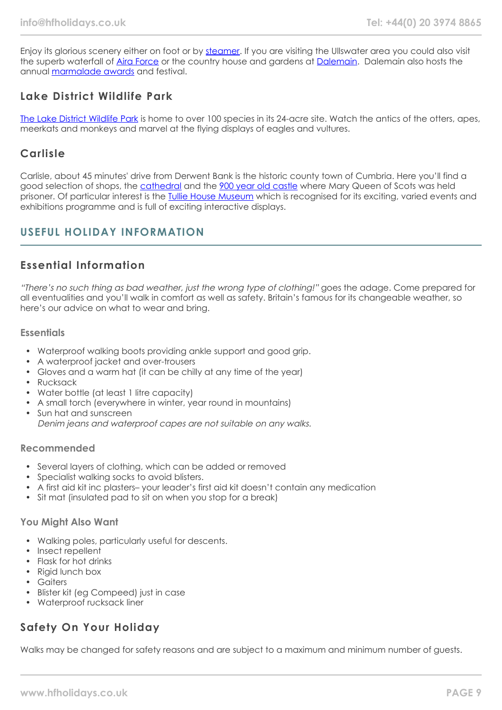Enjoy its glorious scenery either on foot or by [steamer](https://www.ullswater-steamers.co.uk/). If you are visiting the Ullswater area you could also visit the superb waterfall of [Aira Force](https://www.nationaltrust.org.uk/aira-force-and-ullswater) or the country house and gardens at [Dalemain.](https://www.dalemain.com/) Dalemain also hosts the annual [marmalade awards](https://www.dalemain.com/marmalade-festival/) and festival.

# **Lake District Wildlife Park**

[The Lake District Wildlife Park](https://www.lakedistrictwildlifepark.co.uk/) is home to over 100 species in its 24-acre site. Watch the antics of the otters, apes, meerkats and monkeys and marvel at the flying displays of eagles and vultures.

## **Carlisle**

Carlisle, about 45 minutes' drive from Derwent Bank is the historic county town of Cumbria. Here you'll find a good selection of shops, the [cathedral](https://carlislecathedral.org.uk/) and the [900 year old castle](https://www.english-heritage.org.uk/visit/places/carlisle-castle/) where Mary Queen of Scots was held prisoner. Of particular interest is the [Tullie House Museum](https://www.tulliehouse.co.uk/) which is recognised for its exciting, varied events and exhibitions programme and is full of exciting interactive displays.

# **USEFUL HOLIDAY INFORMATION**

# **Essential Information**

"There's no such thing as bad weather, just the wrong type of clothing!" goes the adage. Come prepared for all eventualities and you'll walk in comfort as well as safety. Britain's famous for its changeable weather, so here's our advice on what to wear and bring.

### **Essentials**

- Waterproof walking boots providing ankle support and good grip.
- A waterproof jacket and over-trousers
- Gloves and a warm hat (it can be chilly at any time of the year)
- Rucksack
- Water bottle (at least 1 litre capacity)
- A small torch (everywhere in winter, year round in mountains)
- Sun hat and sunscreen Denim jeans and waterproof capes are not suitable on any walks.

### **Recommended**

- Several layers of clothing, which can be added or removed
- Specialist walking socks to avoid blisters.
- A first aid kit inc plasters– your leader's first aid kit doesn't contain any medication
- Sit mat (insulated pad to sit on when you stop for a break)

### **You Might Also Want**

- Walking poles, particularly useful for descents.
- Insect repellent
- Flask for hot drinks
- Rigid lunch box
- Gaiters
- Blister kit (eg Compeed) just in case
- Waterproof rucksack liner

# **Safety On Your Holiday**

Walks may be changed for safety reasons and are subject to a maximum and minimum number of guests.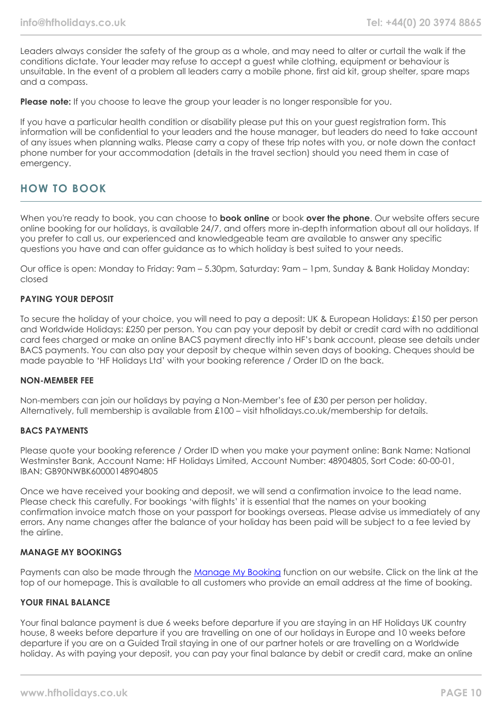Leaders always consider the safety of the group as a whole, and may need to alter or curtail the walk if the conditions dictate. Your leader may refuse to accept a guest while clothing, equipment or behaviour is unsuitable. In the event of a problem all leaders carry a mobile phone, first aid kit, group shelter, spare maps and a compass.

**Please note:** If you choose to leave the group your leader is no longer responsible for you.

If you have a particular health condition or disability please put this on your guest registration form. This information will be confidential to your leaders and the house manager, but leaders do need to take account of any issues when planning walks. Please carry a copy of these trip notes with you, or note down the contact phone number for your accommodation (details in the travel section) should you need them in case of emergency.

# **HOW TO BOOK**

When you're ready to book, you can choose to **book online** or book **over the phone**. Our website offers secure online booking for our holidays, is available 24/7, and offers more in-depth information about all our holidays. If you prefer to call us, our experienced and knowledgeable team are available to answer any specific questions you have and can offer guidance as to which holiday is best suited to your needs.

Our office is open: Monday to Friday: 9am – 5.30pm, Saturday: 9am – 1pm, Sunday & Bank Holiday Monday: closed

### **PAYING YOUR DEPOSIT**

To secure the holiday of your choice, you will need to pay a deposit: UK & European Holidays: £150 per person and Worldwide Holidays: £250 per person. You can pay your deposit by debit or credit card with no additional card fees charged or make an online BACS payment directly into HF's bank account, please see details under BACS payments. You can also pay your deposit by cheque within seven days of booking. Cheques should be made payable to 'HF Holidays Ltd' with your booking reference / Order ID on the back.

#### **NON-MEMBER FEE**

Non-members can join our holidays by paying a Non-Member's fee of £30 per person per holiday. Alternatively, full membership is available from £100 – visit hfholidays.co.uk/membership for details.

#### **BACS PAYMENTS**

Please quote your booking reference / Order ID when you make your payment online: Bank Name: National Westminster Bank, Account Name: HF Holidays Limited, Account Number: 48904805, Sort Code: 60-00-01, IBAN: GB90NWBK60000148904805

Once we have received your booking and deposit, we will send a confirmation invoice to the lead name. Please check this carefully. For bookings 'with flights' it is essential that the names on your booking confirmation invoice match those on your passport for bookings overseas. Please advise us immediately of any errors. Any name changes after the balance of your holiday has been paid will be subject to a fee levied by the airline.

#### **MANAGE MY BOOKINGS**

Payments can also be made through the [Manage My Booking](https://www.hfholidays.co.uk/about-us/bookings/my-booking) function on our website. Click on the link at the top of our homepage. This is available to all customers who provide an email address at the time of booking.

#### **YOUR FINAL BALANCE**

Your final balance payment is due 6 weeks before departure if you are staying in an HF Holidays UK country house, 8 weeks before departure if you are travelling on one of our holidays in Europe and 10 weeks before departure if you are on a Guided Trail staying in one of our partner hotels or are travelling on a Worldwide holiday. As with paying your deposit, you can pay your final balance by debit or credit card, make an online